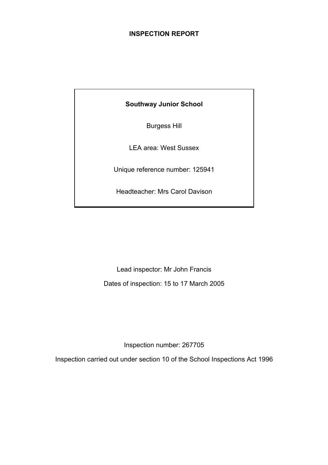# **INSPECTION REPORT**

**Southway Junior School** 

Burgess Hill

LEA area: West Sussex

Unique reference number: 125941

Headteacher: Mrs Carol Davison

Lead inspector: Mr John Francis Dates of inspection: 15 to 17 March 2005

Inspection number: 267705

Inspection carried out under section 10 of the School Inspections Act 1996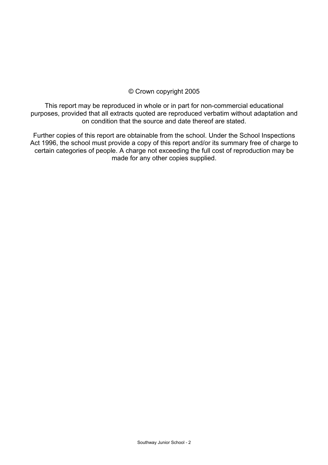## © Crown copyright 2005

This report may be reproduced in whole or in part for non-commercial educational purposes, provided that all extracts quoted are reproduced verbatim without adaptation and on condition that the source and date thereof are stated.

Further copies of this report are obtainable from the school. Under the School Inspections Act 1996, the school must provide a copy of this report and/or its summary free of charge to certain categories of people. A charge not exceeding the full cost of reproduction may be made for any other copies supplied.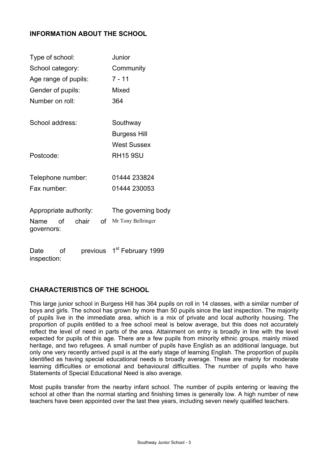## **INFORMATION ABOUT THE SCHOOL**

| Type of school:           |             | Junior                        |  |  |
|---------------------------|-------------|-------------------------------|--|--|
| School category:          |             | Community                     |  |  |
| Age range of pupils:      |             | 7 - 11                        |  |  |
| Gender of pupils:         |             | Mixed                         |  |  |
| Number on roll:           |             | 364                           |  |  |
|                           |             |                               |  |  |
| School address:           |             | Southway                      |  |  |
|                           |             | <b>Burgess Hill</b>           |  |  |
|                           |             | <b>West Sussex</b>            |  |  |
| Postcode:                 |             | <b>RH15 9SU</b>               |  |  |
|                           |             |                               |  |  |
| Telephone number:         |             | 01444 233824                  |  |  |
| Fax number:               |             | 01444 230053                  |  |  |
|                           |             |                               |  |  |
| Appropriate authority:    |             | The governing body            |  |  |
| Name<br>Ωf                | chair<br>οf | Mr Tony Bellringer            |  |  |
| governors:                |             |                               |  |  |
|                           |             |                               |  |  |
| Ωf<br>Date<br>inspection: | previous    | 1 <sup>st</sup> February 1999 |  |  |

# **CHARACTERISTICS OF THE SCHOOL**

This large junior school in Burgess Hill has 364 pupils on roll in 14 classes, with a similar number of boys and girls. The school has grown by more than 50 pupils since the last inspection. The majority of pupils live in the immediate area, which is a mix of private and local authority housing. The proportion of pupils entitled to a free school meal is below average, but this does not accurately reflect the level of need in parts of the area. Attainment on entry is broadly in line with the level expected for pupils of this age. There are a few pupils from minority ethnic groups, mainly mixed heritage, and two refugees. A small number of pupils have English as an additional language, but only one very recently arrived pupil is at the early stage of learning English. The proportion of pupils identified as having special educational needs is broadly average. These are mainly for moderate learning difficulties or emotional and behavioural difficulties. The number of pupils who have Statements of Special Educational Need is also average.

Most pupils transfer from the nearby infant school. The number of pupils entering or leaving the school at other than the normal starting and finishing times is generally low. A high number of new teachers have been appointed over the last thee years, including seven newly qualified teachers.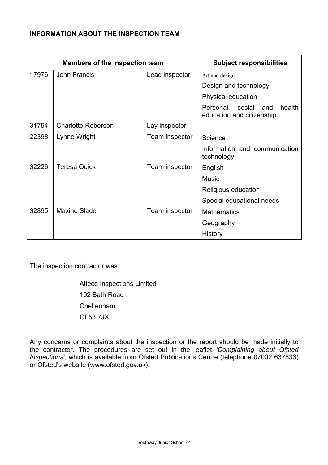# **INFORMATION ABOUT THE INSPECTION TEAM**

| Members of the inspection team |                           |                | <b>Subject responsibilities</b>                                |
|--------------------------------|---------------------------|----------------|----------------------------------------------------------------|
| 17976                          | John Francis              | Lead inspector | Art and design                                                 |
|                                |                           |                | Design and technology                                          |
|                                |                           |                | Physical education                                             |
|                                |                           |                | health<br>Personal, social<br>and<br>education and citizenship |
| 31754                          | <b>Charlotte Roberson</b> | Lay inspector  |                                                                |
| 22398                          | Lynne Wright              | Team inspector | Science                                                        |
|                                |                           |                | Information and communication<br>technology                    |
| 32226                          | <b>Teresa Quick</b>       | Team inspector | English                                                        |
|                                |                           |                | <b>Music</b>                                                   |
|                                |                           |                | Religious education                                            |
|                                |                           |                | Special educational needs                                      |
| 32895                          | <b>Maxine Slade</b>       | Team inspector | <b>Mathematics</b>                                             |
|                                |                           |                | Geography                                                      |
|                                |                           |                | History                                                        |

The inspection contractor was:

 Altecq Inspections Limited 102 Bath Road Cheltenham GL53 7JX

Any concerns or complaints about the inspection or the report should be made initially to the contractor. The procedures are set out in the leaflet *'Complaining about Ofsted Inspections'*, which is available from Ofsted Publications Centre (telephone 07002 637833) or Ofsted's website (www.ofsted.gov.uk).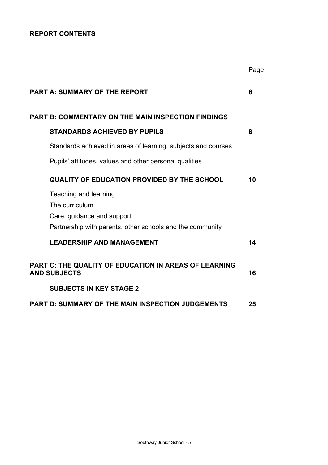# **REPORT CONTENTS**

|                                                                              | Page |
|------------------------------------------------------------------------------|------|
| <b>PART A: SUMMARY OF THE REPORT</b>                                         | 6    |
| <b>PART B: COMMENTARY ON THE MAIN INSPECTION FINDINGS</b>                    |      |
| <b>STANDARDS ACHIEVED BY PUPILS</b>                                          | 8    |
| Standards achieved in areas of learning, subjects and courses                |      |
| Pupils' attitudes, values and other personal qualities                       |      |
| <b>QUALITY OF EDUCATION PROVIDED BY THE SCHOOL</b>                           | 10   |
| Teaching and learning                                                        |      |
| The curriculum                                                               |      |
| Care, guidance and support                                                   |      |
| Partnership with parents, other schools and the community                    |      |
| <b>LEADERSHIP AND MANAGEMENT</b>                                             | 14   |
| PART C: THE QUALITY OF EDUCATION IN AREAS OF LEARNING<br><b>AND SUBJECTS</b> | 16   |
| <b>SUBJECTS IN KEY STAGE 2</b>                                               |      |
| <b>PART D: SUMMARY OF THE MAIN INSPECTION JUDGEMENTS</b>                     | 25   |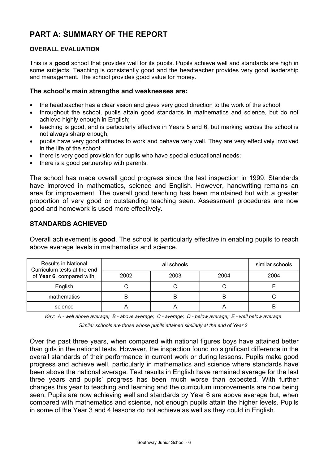# **PART A: SUMMARY OF THE REPORT**

#### **OVERALL EVALUATION**

This is a **good** school that provides well for its pupils. Pupils achieve well and standards are high in some subjects. Teaching is consistently good and the headteacher provides very good leadership and management. The school provides good value for money.

#### **The school's main strengths and weaknesses are:**

- the headteacher has a clear vision and gives very good direction to the work of the school;
- throughout the school, pupils attain good standards in mathematics and science, but do not achieve highly enough in English;
- teaching is good, and is particularly effective in Years 5 and 6, but marking across the school is not always sharp enough;
- pupils have very good attitudes to work and behave very well. They are very effectively involved in the life of the school;
- there is very good provision for pupils who have special educational needs;
- there is a good partnership with parents.

The school has made overall good progress since the last inspection in 1999. Standards have improved in mathematics, science and English. However, handwriting remains an area for improvement. The overall good teaching has been maintained but with a greater proportion of very good or outstanding teaching seen. Assessment procedures are now good and homework is used more effectively.

#### **STANDARDS ACHIEVED**

Overall achievement is **good**. The school is particularly effective in enabling pupils to reach above average levels in mathematics and science.

| <b>Results in National</b><br>Curriculum tests at the end |      | similar schools |      |      |
|-----------------------------------------------------------|------|-----------------|------|------|
| of Year 6, compared with:                                 | 2002 | 2003            | 2004 | 2004 |
| English                                                   |      |                 |      |      |
| mathematics                                               |      | B               | B    |      |
| science                                                   |      |                 |      | B    |

*Key: A - well above average; B - above average; C - average; D - below average; E - well below average* 

*Similar schools are those whose pupils attained similarly at the end of Year 2* 

Over the past three years, when compared with national figures boys have attained better than girls in the national tests. However, the inspection found no significant difference in the overall standards of their performance in current work or during lessons. Pupils make good progress and achieve well, particularly in mathematics and science where standards have been above the national average. Test results in English have remained average for the last three years and pupils' progress has been much worse than expected. With further changes this year to teaching and learning and the curriculum improvements are now being seen. Pupils are now achieving well and standards by Year 6 are above average but, when compared with mathematics and science, not enough pupils attain the higher levels. Pupils in some of the Year 3 and 4 lessons do not achieve as well as they could in English.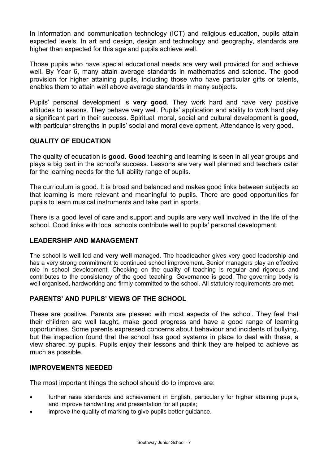In information and communication technology (ICT) and religious education, pupils attain expected levels. In art and design, design and technology and geography, standards are higher than expected for this age and pupils achieve well.

Those pupils who have special educational needs are very well provided for and achieve well. By Year 6, many attain average standards in mathematics and science. The good provision for higher attaining pupils, including those who have particular gifts or talents, enables them to attain well above average standards in many subjects.

Pupils' personal development is **very good**. They work hard and have very positive attitudes to lessons. They behave very well. Pupils' application and ability to work hard play a significant part in their success. Spiritual, moral, social and cultural development is **good**, with particular strengths in pupils' social and moral development. Attendance is very good.

# **QUALITY OF EDUCATION**

The quality of education is **good**. **Good** teaching and learning is seen in all year groups and plays a big part in the school's success. Lessons are very well planned and teachers cater for the learning needs for the full ability range of pupils.

The curriculum is good. It is broad and balanced and makes good links between subjects so that learning is more relevant and meaningful to pupils. There are good opportunities for pupils to learn musical instruments and take part in sports.

There is a good level of care and support and pupils are very well involved in the life of the school. Good links with local schools contribute well to pupils' personal development.

#### **LEADERSHIP AND MANAGEMENT**

The school is **well** led and **very well** managed. The headteacher gives very good leadership and has a very strong commitment to continued school improvement. Senior managers play an effective role in school development. Checking on the quality of teaching is regular and rigorous and contributes to the consistency of the good teaching. Governance is good. The governing body is well organised, hardworking and firmly committed to the school. All statutory requirements are met.

#### **PARENTS' AND PUPILS' VIEWS OF THE SCHOOL**

These are positive. Parents are pleased with most aspects of the school. They feel that their children are well taught, make good progress and have a good range of learning opportunities. Some parents expressed concerns about behaviour and incidents of bullying, but the inspection found that the school has good systems in place to deal with these, a view shared by pupils. Pupils enjoy their lessons and think they are helped to achieve as much as possible.

#### **IMPROVEMENTS NEEDED**

The most important things the school should do to improve are:

- further raise standards and achievement in English, particularly for higher attaining pupils, and improve handwriting and presentation for all pupils;
- improve the quality of marking to give pupils better guidance.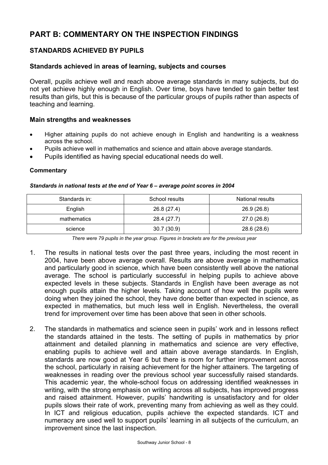# **PART B: COMMENTARY ON THE INSPECTION FINDINGS**

# **STANDARDS ACHIEVED BY PUPILS**

#### **Standards achieved in areas of learning, subjects and courses**

Overall, pupils achieve well and reach above average standards in many subjects, but do not yet achieve highly enough in English. Over time, boys have tended to gain better test results than girls, but this is because of the particular groups of pupils rather than aspects of teaching and learning.

#### **Main strengths and weaknesses**

- Higher attaining pupils do not achieve enough in English and handwriting is a weakness across the school.
- Pupils achieve well in mathematics and science and attain above average standards.
- Pupils identified as having special educational needs do well.

#### **Commentary**

# *Standards in national tests at the end of Year 6 – average point scores in 2004*

| Standards in: | School results | National results |
|---------------|----------------|------------------|
| English       | 26.8 (27.4)    | 26.9 (26.8)      |
| mathematics   | 28.4 (27.7)    | 27.0 (26.8)      |
| science       | 30.7(30.9)     | 28.6 (28.6)      |

*There were 79 pupils in the year group. Figures in brackets are for the previous year* 

- 1. The results in national tests over the past three years, including the most recent in 2004, have been above average overall. Results are above average in mathematics and particularly good in science, which have been consistently well above the national average. The school is particularly successful in helping pupils to achieve above expected levels in these subjects. Standards in English have been average as not enough pupils attain the higher levels. Taking account of how well the pupils were doing when they joined the school, they have done better than expected in science, as expected in mathematics, but much less well in English. Nevertheless, the overall trend for improvement over time has been above that seen in other schools.
- 2. The standards in mathematics and science seen in pupils' work and in lessons reflect the standards attained in the tests. The setting of pupils in mathematics by prior attainment and detailed planning in mathematics and science are very effective, enabling pupils to achieve well and attain above average standards. In English, standards are now good at Year 6 but there is room for further improvement across the school, particularly in raising achievement for the higher attainers. The targeting of weaknesses in reading over the previous school year successfully raised standards. This academic year, the whole-school focus on addressing identified weaknesses in writing, with the strong emphasis on writing across all subjects, has improved progress and raised attainment. However, pupils' handwriting is unsatisfactory and for older pupils slows their rate of work, preventing many from achieving as well as they could. In ICT and religious education, pupils achieve the expected standards. ICT and numeracy are used well to support pupils' learning in all subjects of the curriculum, an improvement since the last inspection.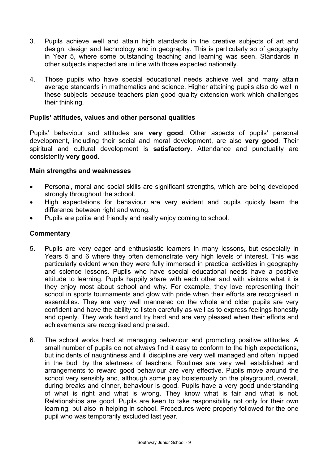- 3. Pupils achieve well and attain high standards in the creative subjects of art and design, design and technology and in geography. This is particularly so of geography in Year 5, where some outstanding teaching and learning was seen. Standards in other subjects inspected are in line with those expected nationally.
- 4. Those pupils who have special educational needs achieve well and many attain average standards in mathematics and science. Higher attaining pupils also do well in these subjects because teachers plan good quality extension work which challenges their thinking.

#### **Pupils' attitudes, values and other personal qualities**

Pupils' behaviour and attitudes are **very good**. Other aspects of pupils' personal development, including their social and moral development, are also **very good**. Their spiritual and cultural development is **satisfactory**. Attendance and punctuality are consistently **very good.** 

#### **Main strengths and weaknesses**

- Personal, moral and social skills are significant strengths, which are being developed strongly throughout the school.
- High expectations for behaviour are very evident and pupils quickly learn the difference between right and wrong.
- Pupils are polite and friendly and really enjoy coming to school.

- 5. Pupils are very eager and enthusiastic learners in many lessons, but especially in Years 5 and 6 where they often demonstrate very high levels of interest. This was particularly evident when they were fully immersed in practical activities in geography and science lessons. Pupils who have special educational needs have a positive attitude to learning. Pupils happily share with each other and with visitors what it is they enjoy most about school and why. For example, they love representing their school in sports tournaments and glow with pride when their efforts are recognised in assemblies. They are very well mannered on the whole and older pupils are very confident and have the ability to listen carefully as well as to express feelings honestly and openly. They work hard and try hard and are very pleased when their efforts and achievements are recognised and praised.
- 6. The school works hard at managing behaviour and promoting positive attitudes. A small number of pupils do not always find it easy to conform to the high expectations, but incidents of naughtiness and ill discipline are very well managed and often 'nipped in the bud' by the alertness of teachers. Routines are very well established and arrangements to reward good behaviour are very effective. Pupils move around the school very sensibly and, although some play boisterously on the playground, overall, during breaks and dinner, behaviour is good. Pupils have a very good understanding of what is right and what is wrong. They know what is fair and what is not. Relationships are good. Pupils are keen to take responsibility not only for their own learning, but also in helping in school. Procedures were properly followed for the one pupil who was temporarily excluded last year.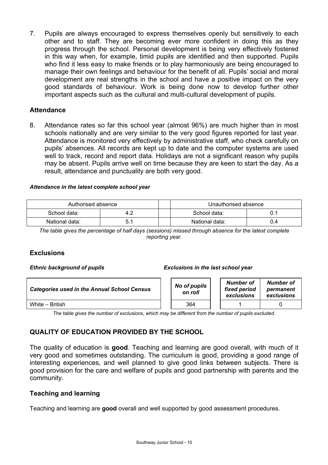7. Pupils are always encouraged to express themselves openly but sensitively to each other and to staff. They are becoming ever more confident in doing this as they progress through the school. Personal development is being very effectively fostered in this way when, for example, timid pupils are identified and then supported. Pupils who find it less easy to make friends or to play harmoniously are being encouraged to manage their own feelings and behaviour for the benefit of all. Pupils' social and moral development are real strengths in the school and have a positive impact on the very good standards of behaviour. Work is being done now to develop further other important aspects such as the cultural and multi-cultural development of pupils.

## **Attendance**

8. Attendance rates so far this school year (almost 96%) are much higher than in most schools nationally and are very similar to the very good figures reported for last year. Attendance is monitored very effectively by administrative staff, who check carefully on pupils' absences. All records are kept up to date and the computer systems are used well to track, record and report data. Holidays are not a significant reason why pupils may be absent. Pupils arrive well on time because they are keen to start the day. As a result, attendance and punctuality are both very good.

#### *Attendance in the latest complete school year*

| Authorised absence |  | Unauthorised absence |     |  |
|--------------------|--|----------------------|-----|--|
| School data:       |  | School data:         |     |  |
| National data:     |  | National data:       | υ.4 |  |

*The table gives the percentage of half days (sessions) missed through absence for the latest complete reporting year.* 

#### **Exclusions**

#### *Ethnic background of pupils Exclusions in the last school year*

| <b>Categories used in the Annual School Census</b> | No of pupils<br>on roll | Number of<br>fixed period<br>exclusions | Number of<br>permanent<br>exclusions |
|----------------------------------------------------|-------------------------|-----------------------------------------|--------------------------------------|
| White – British                                    | 364                     |                                         |                                      |

*The table gives the number of exclusions, which may be different from the number of pupils excluded.* 

# **QUALITY OF EDUCATION PROVIDED BY THE SCHOOL**

The quality of education is **good**. Teaching and learning are good overall, with much of it very good and sometimes outstanding. The curriculum is good, providing a good range of interesting experiences, and well planned to give good links between subjects. There is good provision for the care and welfare of pupils and good partnership with parents and the community.

#### **Teaching and learning**

Teaching and learning are **good** overall and well supported by good assessment procedures.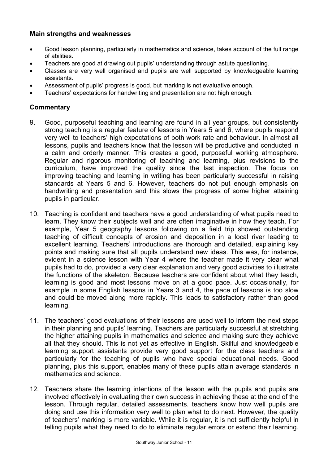## **Main strengths and weaknesses**

- Good lesson planning, particularly in mathematics and science, takes account of the full range of abilities.
- Teachers are good at drawing out pupils' understanding through astute questioning.
- Classes are very well organised and pupils are well supported by knowledgeable learning assistants.
- Assessment of pupils' progress is good, but marking is not evaluative enough.
- Teachers' expectations for handwriting and presentation are not high enough.

- 9. Good, purposeful teaching and learning are found in all year groups, but consistently strong teaching is a regular feature of lessons in Years 5 and 6, where pupils respond very well to teachers' high expectations of both work rate and behaviour. In almost all lessons, pupils and teachers know that the lesson will be productive and conducted in a calm and orderly manner. This creates a good, purposeful working atmosphere. Regular and rigorous monitoring of teaching and learning, plus revisions to the curriculum, have improved the quality since the last inspection. The focus on improving teaching and learning in writing has been particularly successful in raising standards at Years 5 and 6. However, teachers do not put enough emphasis on handwriting and presentation and this slows the progress of some higher attaining pupils in particular.
- 10. Teaching is confident and teachers have a good understanding of what pupils need to learn. They know their subjects well and are often imaginative in how they teach. For example, Year 5 geography lessons following on a field trip showed outstanding teaching of difficult concepts of erosion and deposition in a local river leading to excellent learning. Teachers' introductions are thorough and detailed, explaining key points and making sure that all pupils understand new ideas. This was, for instance, evident in a science lesson with Year 4 where the teacher made it very clear what pupils had to do, provided a very clear explanation and very good activities to illustrate the functions of the skeleton. Because teachers are confident about what they teach, learning is good and most lessons move on at a good pace. Just occasionally, for example in some English lessons in Years 3 and 4, the pace of lessons is too slow and could be moved along more rapidly. This leads to satisfactory rather than good learning.
- 11. The teachers' good evaluations of their lessons are used well to inform the next steps in their planning and pupils' learning. Teachers are particularly successful at stretching the higher attaining pupils in mathematics and science and making sure they achieve all that they should. This is not yet as effective in English. Skilful and knowledgeable learning support assistants provide very good support for the class teachers and particularly for the teaching of pupils who have special educational needs. Good planning, plus this support, enables many of these pupils attain average standards in mathematics and science.
- 12. Teachers share the learning intentions of the lesson with the pupils and pupils are involved effectively in evaluating their own success in achieving these at the end of the lesson. Through regular, detailed assessments, teachers know how well pupils are doing and use this information very well to plan what to do next. However, the quality of teachers' marking is more variable. While it is regular, it is not sufficiently helpful in telling pupils what they need to do to eliminate regular errors or extend their learning.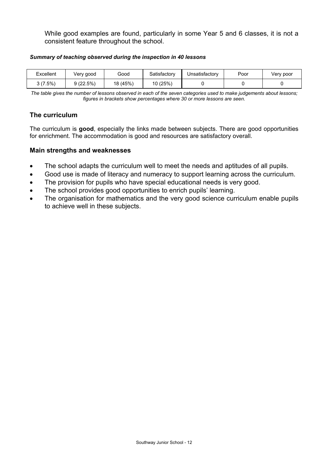While good examples are found, particularly in some Year 5 and 6 classes, it is not a consistent feature throughout the school.

#### *Summary of teaching observed during the inspection in 40 lessons*

| Excellent  | Very good | Good     | Satisfactory | Unsatisfactory | Poor | Verv poor |
|------------|-----------|----------|--------------|----------------|------|-----------|
| $3(7.5\%)$ | 9(22.5%)  | 18 (45%) | 10(25%)      |                |      |           |

*The table gives the number of lessons observed in each of the seven categories used to make judgements about lessons; figures in brackets show percentages where 30 or more lessons are seen.* 

### **The curriculum**

The curriculum is **good**, especially the links made between subjects. There are good opportunities for enrichment. The accommodation is good and resources are satisfactory overall.

- The school adapts the curriculum well to meet the needs and aptitudes of all pupils.
- Good use is made of literacy and numeracy to support learning across the curriculum.
- The provision for pupils who have special educational needs is very good.
- The school provides good opportunities to enrich pupils' learning.
- The organisation for mathematics and the very good science curriculum enable pupils to achieve well in these subjects.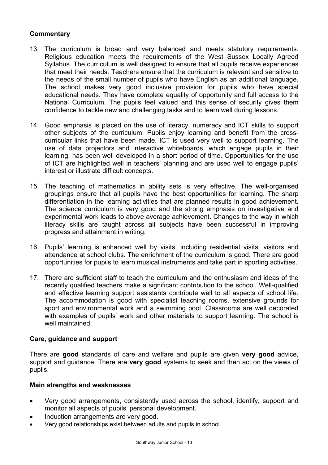- 13. The curriculum is broad and very balanced and meets statutory requirements. Religious education meets the requirements of the West Sussex Locally Agreed Syllabus. The curriculum is well designed to ensure that all pupils receive experiences that meet their needs. Teachers ensure that the curriculum is relevant and sensitive to the needs of the small number of pupils who have English as an additional language. The school makes very good inclusive provision for pupils who have special educational needs. They have complete equality of opportunity and full access to the National Curriculum. The pupils feel valued and this sense of security gives them confidence to tackle new and challenging tasks and to learn well during lessons.
- 14. Good emphasis is placed on the use of literacy, numeracy and ICT skills to support other subjects of the curriculum. Pupils enjoy learning and benefit from the crosscurricular links that have been made. ICT is used very well to support learning. The use of data projectors and interactive whiteboards, which engage pupils in their learning, has been well developed in a short period of time. Opportunities for the use of ICT are highlighted well in teachers' planning and are used well to engage pupils' interest or illustrate difficult concepts.
- 15. The teaching of mathematics in ability sets is very effective. The well-organised groupings ensure that all pupils have the best opportunities for learning. The sharp differentiation in the learning activities that are planned results in good achievement. The science curriculum is very good and the strong emphasis on investigative and experimental work leads to above average achievement. Changes to the way in which literacy skills are taught across all subjects have been successful in improving progress and attainment in writing.
- 16. Pupils' learning is enhanced well by visits, including residential visits, visitors and attendance at school clubs. The enrichment of the curriculum is good. There are good opportunities for pupils to learn musical instruments and take part in sporting activities.
- 17. There are sufficient staff to teach the curriculum and the enthusiasm and ideas of the recently qualified teachers make a significant contribution to the school. Well-qualified and effective learning support assistants contribute well to all aspects of school life. The accommodation is good with specialist teaching rooms, extensive grounds for sport and environmental work and a swimming pool. Classrooms are well decorated with examples of pupils' work and other materials to support learning. The school is well maintained.

#### **Care, guidance and support**

There are **good** standards of care and welfare and pupils are given **very good** advice, support and guidance. There are **very good** systems to seek and then act on the views of pupils.

- Very good arrangements, consistently used across the school, identify, support and monitor all aspects of pupils' personal development.
- Induction arrangements are very good.
- Very good relationships exist between adults and pupils in school.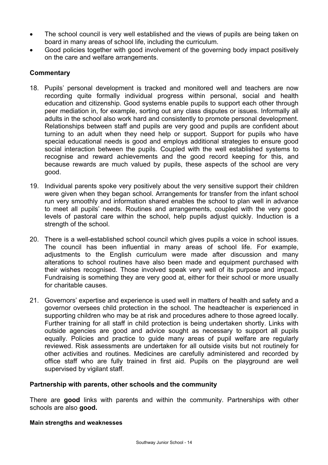- The school council is very well established and the views of pupils are being taken on board in many areas of school life, including the curriculum.
- Good policies together with good involvement of the governing body impact positively on the care and welfare arrangements.

- 18. Pupils' personal development is tracked and monitored well and teachers are now recording quite formally individual progress within personal, social and health education and citizenship. Good systems enable pupils to support each other through peer mediation in, for example, sorting out any class disputes or issues. Informally all adults in the school also work hard and consistently to promote personal development. Relationships between staff and pupils are very good and pupils are confident about turning to an adult when they need help or support. Support for pupils who have special educational needs is good and employs additional strategies to ensure good social interaction between the pupils. Coupled with the well established systems to recognise and reward achievements and the good record keeping for this, and because rewards are much valued by pupils, these aspects of the school are very good.
- 19. Individual parents spoke very positively about the very sensitive support their children were given when they began school. Arrangements for transfer from the infant school run very smoothly and information shared enables the school to plan well in advance to meet all pupils' needs. Routines and arrangements, coupled with the very good levels of pastoral care within the school, help pupils adjust quickly. Induction is a strength of the school.
- 20. There is a well-established school council which gives pupils a voice in school issues. The council has been influential in many areas of school life. For example, adjustments to the English curriculum were made after discussion and many alterations to school routines have also been made and equipment purchased with their wishes recognised. Those involved speak very well of its purpose and impact. Fundraising is something they are very good at, either for their school or more usually for charitable causes.
- 21. Governors' expertise and experience is used well in matters of health and safety and a governor oversees child protection in the school. The headteacher is experienced in supporting children who may be at risk and procedures adhere to those agreed locally. Further training for all staff in child protection is being undertaken shortly. Links with outside agencies are good and advice sought as necessary to support all pupils equally. Policies and practice to guide many areas of pupil welfare are regularly reviewed. Risk assessments are undertaken for all outside visits but not routinely for other activities and routines. Medicines are carefully administered and recorded by office staff who are fully trained in first aid. Pupils on the playground are well supervised by vigilant staff.

#### **Partnership with parents, other schools and the community**

There are **good** links with parents and within the community. Partnerships with other schools are also **good.**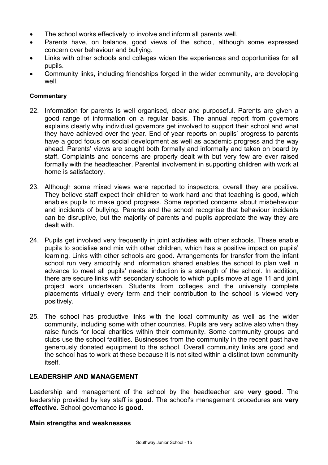- The school works effectively to involve and inform all parents well.
- Parents have, on balance, good views of the school, although some expressed concern over behaviour and bullying.
- Links with other schools and colleges widen the experiences and opportunities for all pupils.
- Community links, including friendships forged in the wider community, are developing well.

- 22. Information for parents is well organised, clear and purposeful. Parents are given a good range of information on a regular basis. The annual report from governors explains clearly why individual governors get involved to support their school and what they have achieved over the year. End of year reports on pupils' progress to parents have a good focus on social development as well as academic progress and the way ahead. Parents' views are sought both formally and informally and taken on board by staff. Complaints and concerns are properly dealt with but very few are ever raised formally with the headteacher. Parental involvement in supporting children with work at home is satisfactory.
- 23. Although some mixed views were reported to inspectors, overall they are positive. They believe staff expect their children to work hard and that teaching is good, which enables pupils to make good progress. Some reported concerns about misbehaviour and incidents of bullying. Parents and the school recognise that behaviour incidents can be disruptive, but the majority of parents and pupils appreciate the way they are dealt with.
- 24. Pupils get involved very frequently in joint activities with other schools. These enable pupils to socialise and mix with other children, which has a positive impact on pupils' learning. Links with other schools are good. Arrangements for transfer from the infant school run very smoothly and information shared enables the school to plan well in advance to meet all pupils' needs: induction is a strength of the school. In addition, there are secure links with secondary schools to which pupils move at age 11 and joint project work undertaken. Students from colleges and the university complete placements virtually every term and their contribution to the school is viewed very positively.
- 25. The school has productive links with the local community as well as the wider community, including some with other countries. Pupils are very active also when they raise funds for local charities within their community. Some community groups and clubs use the school facilities. Businesses from the community in the recent past have generously donated equipment to the school. Overall community links are good and the school has to work at these because it is not sited within a distinct town community itself.

# **LEADERSHIP AND MANAGEMENT**

Leadership and management of the school by the headteacher are **very good**. The leadership provided by key staff is **good**. The school's management procedures are **very effective**. School governance is **good.**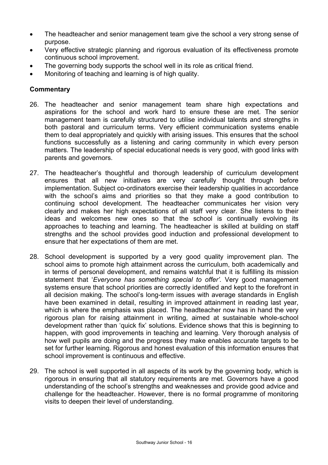- The headteacher and senior management team give the school a very strong sense of purpose.
- Very effective strategic planning and rigorous evaluation of its effectiveness promote continuous school improvement.
- The governing body supports the school well in its role as critical friend.
- Monitoring of teaching and learning is of high quality.

- 26. The headteacher and senior management team share high expectations and aspirations for the school and work hard to ensure these are met. The senior management team is carefully structured to utilise individual talents and strengths in both pastoral and curriculum terms. Very efficient communication systems enable them to deal appropriately and quickly with arising issues. This ensures that the school functions successfully as a listening and caring community in which every person matters. The leadership of special educational needs is very good, with good links with parents and governors.
- 27. The headteacher's thoughtful and thorough leadership of curriculum development ensures that all new initiatives are very carefully thought through before implementation. Subject co-ordinators exercise their leadership qualities in accordance with the school's aims and priorities so that they make a good contribution to continuing school development. The headteacher communicates her vision very clearly and makes her high expectations of all staff very clear. She listens to their ideas and welcomes new ones so that the school is continually evolving its approaches to teaching and learning. The headteacher is skilled at building on staff strengths and the school provides good induction and professional development to ensure that her expectations of them are met.
- 28. School development is supported by a very good quality improvement plan. The school aims to promote high attainment across the curriculum, both academically and in terms of personal development, and remains watchful that it is fulfilling its mission statement that '*Everyone has something special to offer'.* Very good management systems ensure that school priorities are correctly identified and kept to the forefront in all decision making. The school's long-term issues with average standards in English have been examined in detail, resulting in improved attainment in reading last year, which is where the emphasis was placed. The headteacher now has in hand the very rigorous plan for raising attainment in writing, aimed at sustainable whole-school development rather than 'quick fix' solutions. Evidence shows that this is beginning to happen, with good improvements in teaching and learning. Very thorough analysis of how well pupils are doing and the progress they make enables accurate targets to be set for further learning. Rigorous and honest evaluation of this information ensures that school improvement is continuous and effective.
- 29. The school is well supported in all aspects of its work by the governing body, which is rigorous in ensuring that all statutory requirements are met. Governors have a good understanding of the school's strengths and weaknesses and provide good advice and challenge for the headteacher. However, there is no formal programme of monitoring visits to deepen their level of understanding.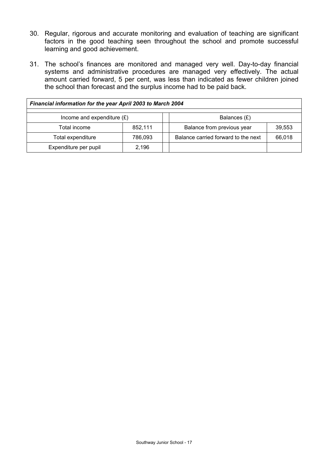- 30. Regular, rigorous and accurate monitoring and evaluation of teaching are significant factors in the good teaching seen throughout the school and promote successful learning and good achievement.
- 31. The school's finances are monitored and managed very well. Day-to-day financial systems and administrative procedures are managed very effectively. The actual amount carried forward, 5 per cent, was less than indicated as fewer children joined the school than forecast and the surplus income had to be paid back.

| Financial information for the year April 2003 to March 2004 |         |  |                                     |        |  |  |  |
|-------------------------------------------------------------|---------|--|-------------------------------------|--------|--|--|--|
| Income and expenditure $(E)$<br>Balances (£)                |         |  |                                     |        |  |  |  |
| Total income                                                | 852,111 |  | Balance from previous year          | 39,553 |  |  |  |
| Total expenditure                                           | 786,093 |  | Balance carried forward to the next | 66,018 |  |  |  |
| Expenditure per pupil<br>2,196                              |         |  |                                     |        |  |  |  |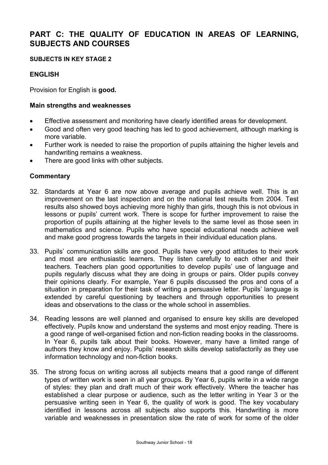# **PART C: THE QUALITY OF EDUCATION IN AREAS OF LEARNING, SUBJECTS AND COURSES**

#### **SUBJECTS IN KEY STAGE 2**

#### **ENGLISH**

Provision for English is **good.** 

#### **Main strengths and weaknesses**

- Effective assessment and monitoring have clearly identified areas for development.
- Good and often very good teaching has led to good achievement, although marking is more variable.
- Further work is needed to raise the proportion of pupils attaining the higher levels and handwriting remains a weakness.
- There are good links with other subjects.

- 32. Standards at Year 6 are now above average and pupils achieve well. This is an improvement on the last inspection and on the national test results from 2004. Test results also showed boys achieving more highly than girls, though this is not obvious in lessons or pupils' current work. There is scope for further improvement to raise the proportion of pupils attaining at the higher levels to the same level as those seen in mathematics and science. Pupils who have special educational needs achieve well and make good progress towards the targets in their individual education plans.
- 33. Pupils' communication skills are good. Pupils have very good attitudes to their work and most are enthusiastic learners. They listen carefully to each other and their teachers. Teachers plan good opportunities to develop pupils' use of language and pupils regularly discuss what they are doing in groups or pairs. Older pupils convey their opinions clearly. For example, Year 6 pupils discussed the pros and cons of a situation in preparation for their task of writing a persuasive letter. Pupils' language is extended by careful questioning by teachers and through opportunities to present ideas and observations to the class or the whole school in assemblies.
- 34. Reading lessons are well planned and organised to ensure key skills are developed effectively. Pupils know and understand the systems and most enjoy reading. There is a good range of well-organised fiction and non-fiction reading books in the classrooms. In Year 6, pupils talk about their books. However, many have a limited range of authors they know and enjoy. Pupils' research skills develop satisfactorily as they use information technology and non-fiction books.
- 35. The strong focus on writing across all subjects means that a good range of different types of written work is seen in all year groups. By Year 6, pupils write in a wide range of styles: they plan and draft much of their work effectively. Where the teacher has established a clear purpose or audience, such as the letter writing in Year 3 or the persuasive writing seen in Year 6, the quality of work is good. The key vocabulary identified in lessons across all subjects also supports this. Handwriting is more variable and weaknesses in presentation slow the rate of work for some of the older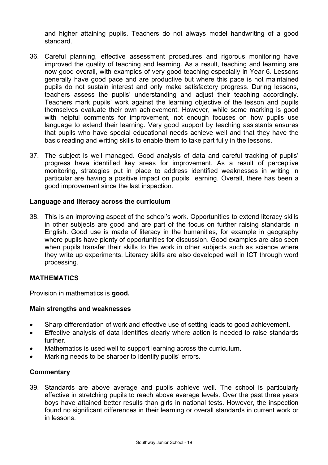and higher attaining pupils. Teachers do not always model handwriting of a good standard.

- 36. Careful planning, effective assessment procedures and rigorous monitoring have improved the quality of teaching and learning. As a result, teaching and learning are now good overall, with examples of very good teaching especially in Year 6. Lessons generally have good pace and are productive but where this pace is not maintained pupils do not sustain interest and only make satisfactory progress. During lessons, teachers assess the pupils' understanding and adjust their teaching accordingly. Teachers mark pupils' work against the learning objective of the lesson and pupils themselves evaluate their own achievement. However, while some marking is good with helpful comments for improvement, not enough focuses on how pupils use language to extend their learning. Very good support by teaching assistants ensures that pupils who have special educational needs achieve well and that they have the basic reading and writing skills to enable them to take part fully in the lessons.
- 37. The subject is well managed. Good analysis of data and careful tracking of pupils' progress have identified key areas for improvement. As a result of perceptive monitoring, strategies put in place to address identified weaknesses in writing in particular are having a positive impact on pupils' learning. Overall, there has been a good improvement since the last inspection.

#### **Language and literacy across the curriculum**

38. This is an improving aspect of the school's work. Opportunities to extend literacy skills in other subjects are good and are part of the focus on further raising standards in English. Good use is made of literacy in the humanities, for example in geography where pupils have plenty of opportunities for discussion. Good examples are also seen when pupils transfer their skills to the work in other subjects such as science where they write up experiments. Literacy skills are also developed well in ICT through word processing.

#### **MATHEMATICS**

Provision in mathematics is **good.** 

#### **Main strengths and weaknesses**

- Sharp differentiation of work and effective use of setting leads to good achievement.
- Effective analysis of data identifies clearly where action is needed to raise standards further.
- Mathematics is used well to support learning across the curriculum.
- Marking needs to be sharper to identify pupils' errors.

#### **Commentary**

39. Standards are above average and pupils achieve well. The school is particularly effective in stretching pupils to reach above average levels. Over the past three years boys have attained better results than girls in national tests. However, the inspection found no significant differences in their learning or overall standards in current work or in lessons.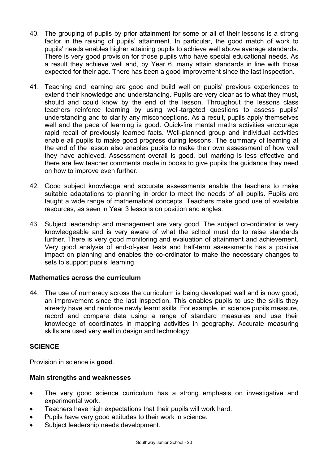- 40. The grouping of pupils by prior attainment for some or all of their lessons is a strong factor in the raising of pupils' attainment. In particular, the good match of work to pupils' needs enables higher attaining pupils to achieve well above average standards. There is very good provision for those pupils who have special educational needs. As a result they achieve well and, by Year 6, many attain standards in line with those expected for their age. There has been a good improvement since the last inspection.
- 41. Teaching and learning are good and build well on pupils' previous experiences to extend their knowledge and understanding. Pupils are very clear as to what they must, should and could know by the end of the lesson. Throughout the lessons class teachers reinforce learning by using well-targeted questions to assess pupils' understanding and to clarify any misconceptions. As a result, pupils apply themselves well and the pace of learning is good. Quick-fire mental maths activities encourage rapid recall of previously learned facts. Well-planned group and individual activities enable all pupils to make good progress during lessons. The summary of learning at the end of the lesson also enables pupils to make their own assessment of how well they have achieved. Assessment overall is good, but marking is less effective and there are few teacher comments made in books to give pupils the guidance they need on how to improve even further.
- 42. Good subject knowledge and accurate assessments enable the teachers to make suitable adaptations to planning in order to meet the needs of all pupils. Pupils are taught a wide range of mathematical concepts. Teachers make good use of available resources, as seen in Year 3 lessons on position and angles.
- 43. Subject leadership and management are very good. The subject co-ordinator is very knowledgeable and is very aware of what the school must do to raise standards further. There is very good monitoring and evaluation of attainment and achievement. Very good analysis of end-of-year tests and half-term assessments has a positive impact on planning and enables the co-ordinator to make the necessary changes to sets to support pupils' learning.

# **Mathematics across the curriculum**

44. The use of numeracy across the curriculum is being developed well and is now good, an improvement since the last inspection. This enables pupils to use the skills they already have and reinforce newly learnt skills. For example, in science pupils measure, record and compare data using a range of standard measures and use their knowledge of coordinates in mapping activities in geography. Accurate measuring skills are used very well in design and technology.

#### **SCIENCE**

Provision in science is **good**.

- The very good science curriculum has a strong emphasis on investigative and experimental work.
- Teachers have high expectations that their pupils will work hard.
- Pupils have very good attitudes to their work in science.
- Subject leadership needs development.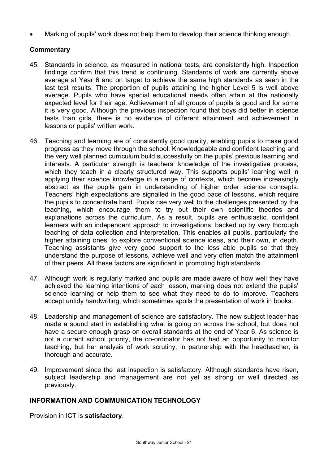• Marking of pupils' work does not help them to develop their science thinking enough.

# **Commentary**

- 45. Standards in science, as measured in national tests, are consistently high. Inspection findings confirm that this trend is continuing. Standards of work are currently above average at Year 6 and on target to achieve the same high standards as seen in the last test results. The proportion of pupils attaining the higher Level 5 is well above average. Pupils who have special educational needs often attain at the nationally expected level for their age. Achievement of all groups of pupils is good and for some it is very good. Although the previous inspection found that boys did better in science tests than girls, there is no evidence of different attainment and achievement in lessons or pupils' written work.
- 46. Teaching and learning are of consistently good quality, enabling pupils to make good progress as they move through the school. Knowledgeable and confident teaching and the very well planned curriculum build successfully on the pupils' previous learning and interests. A particular strength is teachers' knowledge of the investigative process, which they teach in a clearly structured way. This supports pupils' learning well in applying their science knowledge in a range of contexts, which become increasingly abstract as the pupils gain in understanding of higher order science concepts. Teachers' high expectations are signalled in the good pace of lessons, which require the pupils to concentrate hard. Pupils rise very well to the challenges presented by the teaching, which encourage them to try out their own scientific theories and explanations across the curriculum. As a result, pupils are enthusiastic, confident learners with an independent approach to investigations, backed up by very thorough teaching of data collection and interpretation. This enables all pupils, particularly the higher attaining ones, to explore conventional science ideas, and their own, in depth. Teaching assistants give very good support to the less able pupils so that they understand the purpose of lessons, achieve well and very often match the attainment of their peers. All these factors are significant in promoting high standards.
- 47. Although work is regularly marked and pupils are made aware of how well they have achieved the learning intentions of each lesson, marking does not extend the pupils' science learning or help them to see what they need to do to improve. Teachers accept untidy handwriting, which sometimes spoils the presentation of work in books.
- 48. Leadership and management of science are satisfactory. The new subject leader has made a sound start in establishing what is going on across the school, but does not have a secure enough grasp on overall standards at the end of Year 6. As science is not a current school priority, the co-ordinator has not had an opportunity to monitor teaching, but her analysis of work scrutiny, in partnership with the headteacher, is thorough and accurate.
- 49. Improvement since the last inspection is satisfactory. Although standards have risen, subject leadership and management are not yet as strong or well directed as previously.

# **INFORMATION AND COMMUNICATION TECHNOLOGY**

Provision in ICT is **satisfactory**.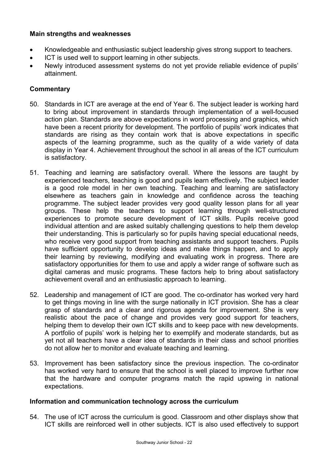## **Main strengths and weaknesses**

- Knowledgeable and enthusiastic subject leadership gives strong support to teachers.
- ICT is used well to support learning in other subjects.
- Newly introduced assessment systems do not yet provide reliable evidence of pupils' attainment.

## **Commentary**

- 50. Standards in ICT are average at the end of Year 6. The subject leader is working hard to bring about improvement in standards through implementation of a well-focused action plan. Standards are above expectations in word processing and graphics, which have been a recent priority for development. The portfolio of pupils' work indicates that standards are rising as they contain work that is above expectations in specific aspects of the learning programme, such as the quality of a wide variety of data display in Year 4. Achievement throughout the school in all areas of the ICT curriculum is satisfactory.
- 51. Teaching and learning are satisfactory overall. Where the lessons are taught by experienced teachers, teaching is good and pupils learn effectively. The subject leader is a good role model in her own teaching. Teaching and learning are satisfactory elsewhere as teachers gain in knowledge and confidence across the teaching programme. The subject leader provides very good quality lesson plans for all year groups. These help the teachers to support learning through well-structured experiences to promote secure development of ICT skills. Pupils receive good individual attention and are asked suitably challenging questions to help them develop their understanding. This is particularly so for pupils having special educational needs, who receive very good support from teaching assistants and support teachers. Pupils have sufficient opportunity to develop ideas and make things happen, and to apply their learning by reviewing, modifying and evaluating work in progress. There are satisfactory opportunities for them to use and apply a wider range of software such as digital cameras and music programs. These factors help to bring about satisfactory achievement overall and an enthusiastic approach to learning.
- 52. Leadership and management of ICT are good. The co-ordinator has worked very hard to get things moving in line with the surge nationally in ICT provision. She has a clear grasp of standards and a clear and rigorous agenda for improvement. She is very realistic about the pace of change and provides very good support for teachers, helping them to develop their own ICT skills and to keep pace with new developments. A portfolio of pupils' work is helping her to exemplify and moderate standards, but as yet not all teachers have a clear idea of standards in their class and school priorities do not allow her to monitor and evaluate teaching and learning.
- 53. Improvement has been satisfactory since the previous inspection. The co-ordinator has worked very hard to ensure that the school is well placed to improve further now that the hardware and computer programs match the rapid upswing in national expectations.

#### **Information and communication technology across the curriculum**

54. The use of ICT across the curriculum is good. Classroom and other displays show that ICT skills are reinforced well in other subjects. ICT is also used effectively to support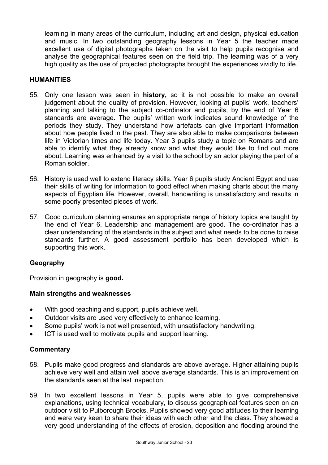learning in many areas of the curriculum, including art and design, physical education and music. In two outstanding geography lessons in Year 5 the teacher made excellent use of digital photographs taken on the visit to help pupils recognise and analyse the geographical features seen on the field trip. The learning was of a very high quality as the use of projected photographs brought the experiences vividly to life.

#### **HUMANITIES**

- 55. Only one lesson was seen in **history,** so it is not possible to make an overall judgement about the quality of provision. However, looking at pupils' work, teachers' planning and talking to the subject co-ordinator and pupils, by the end of Year 6 standards are average. The pupils' written work indicates sound knowledge of the periods they study. They understand how artefacts can give important information about how people lived in the past. They are also able to make comparisons between life in Victorian times and life today. Year 3 pupils study a topic on Romans and are able to identify what they already know and what they would like to find out more about. Learning was enhanced by a visit to the school by an actor playing the part of a Roman soldier.
- 56. History is used well to extend literacy skills. Year 6 pupils study Ancient Egypt and use their skills of writing for information to good effect when making charts about the many aspects of Egyptian life. However, overall, handwriting is unsatisfactory and results in some poorly presented pieces of work.
- 57. Good curriculum planning ensures an appropriate range of history topics are taught by the end of Year 6. Leadership and management are good. The co-ordinator has a clear understanding of the standards in the subject and what needs to be done to raise standards further. A good assessment portfolio has been developed which is supporting this work.

#### **Geography**

Provision in geography is **good.** 

#### **Main strengths and weaknesses**

- With good teaching and support, pupils achieve well.
- Outdoor visits are used very effectively to enhance learning.
- Some pupils' work is not well presented, with unsatisfactory handwriting.
- ICT is used well to motivate pupils and support learning.

- 58. Pupils make good progress and standards are above average. Higher attaining pupils achieve very well and attain well above average standards. This is an improvement on the standards seen at the last inspection.
- 59. In two excellent lessons in Year 5, pupils were able to give comprehensive explanations, using technical vocabulary, to discuss geographical features seen on an outdoor visit to Pulborough Brooks. Pupils showed very good attitudes to their learning and were very keen to share their ideas with each other and the class. They showed a very good understanding of the effects of erosion, deposition and flooding around the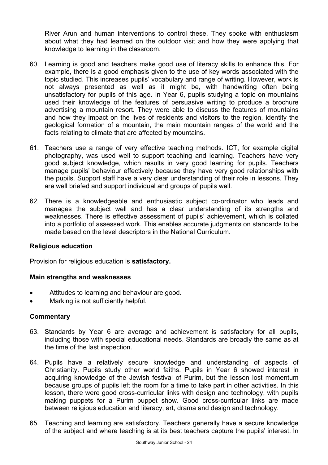River Arun and human interventions to control these. They spoke with enthusiasm about what they had learned on the outdoor visit and how they were applying that knowledge to learning in the classroom.

- 60. Learning is good and teachers make good use of literacy skills to enhance this. For example, there is a good emphasis given to the use of key words associated with the topic studied. This increases pupils' vocabulary and range of writing. However, work is not always presented as well as it might be, with handwriting often being unsatisfactory for pupils of this age. In Year 6, pupils studying a topic on mountains used their knowledge of the features of persuasive writing to produce a brochure advertising a mountain resort. They were able to discuss the features of mountains and how they impact on the lives of residents and visitors to the region, identify the geological formation of a mountain, the main mountain ranges of the world and the facts relating to climate that are affected by mountains.
- 61. Teachers use a range of very effective teaching methods. ICT, for example digital photography, was used well to support teaching and learning. Teachers have very good subject knowledge, which results in very good learning for pupils. Teachers manage pupils' behaviour effectively because they have very good relationships with the pupils. Support staff have a very clear understanding of their role in lessons. They are well briefed and support individual and groups of pupils well.
- 62. There is a knowledgeable and enthusiastic subject co-ordinator who leads and manages the subject well and has a clear understanding of its strengths and weaknesses. There is effective assessment of pupils' achievement, which is collated into a portfolio of assessed work. This enables accurate judgments on standards to be made based on the level descriptors in the National Curriculum.

#### **Religious education**

Provision for religious education is **satisfactory.** 

#### **Main strengths and weaknesses**

- Attitudes to learning and behaviour are good.
- Marking is not sufficiently helpful.

- 63. Standards by Year 6 are average and achievement is satisfactory for all pupils, including those with special educational needs. Standards are broadly the same as at the time of the last inspection.
- 64. Pupils have a relatively secure knowledge and understanding of aspects of Christianity. Pupils study other world faiths. Pupils in Year 6 showed interest in acquiring knowledge of the Jewish festival of Purim, but the lesson lost momentum because groups of pupils left the room for a time to take part in other activities. In this lesson, there were good cross-curricular links with design and technology, with pupils making puppets for a Purim puppet show. Good cross-curricular links are made between religious education and literacy, art, drama and design and technology.
- 65. Teaching and learning are satisfactory. Teachers generally have a secure knowledge of the subject and where teaching is at its best teachers capture the pupils' interest. In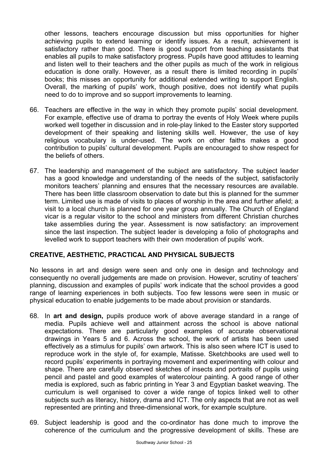other lessons, teachers encourage discussion but miss opportunities for higher achieving pupils to extend learning or identify issues. As a result, achievement is satisfactory rather than good. There is good support from teaching assistants that enables all pupils to make satisfactory progress. Pupils have good attitudes to learning and listen well to their teachers and the other pupils as much of the work in religious education is done orally. However, as a result there is limited recording in pupils' books; this misses an opportunity for additional extended writing to support English. Overall, the marking of pupils' work, though positive, does not identify what pupils need to do to improve and so support improvements to learning.

- 66. Teachers are effective in the way in which they promote pupils' social development. For example, effective use of drama to portray the events of Holy Week where pupils worked well together in discussion and in role-play linked to the Easter story supported development of their speaking and listening skills well. However, the use of key religious vocabulary is under-used. The work on other faiths makes a good contribution to pupils' cultural development. Pupils are encouraged to show respect for the beliefs of others.
- 67. The leadership and management of the subject are satisfactory. The subject leader has a good knowledge and understanding of the needs of the subject, satisfactorily monitors teachers' planning and ensures that the necessary resources are available. There has been little classroom observation to date but this is planned for the summer term. Limited use is made of visits to places of worship in the area and further afield; a visit to a local church is planned for one year group annually. The Church of England vicar is a regular visitor to the school and ministers from different Christian churches take assemblies during the year. Assessment is now satisfactory: an improvement since the last inspection. The subject leader is developing a folio of photographs and levelled work to support teachers with their own moderation of pupils' work.

#### **CREATIVE, AESTHETIC, PRACTICAL AND PHYSICAL SUBJECTS**

No lessons in art and design were seen and only one in design and technology and consequently no overall judgements are made on provision. However, scrutiny of teachers' planning, discussion and examples of pupils' work indicate that the school provides a good range of learning experiences in both subjects. Too few lessons were seen in music or physical education to enable judgements to be made about provision or standards.

- 68. In **art and design,** pupils produce work of above average standard in a range of media. Pupils achieve well and attainment across the school is above national expectations. There are particularly good examples of accurate observational drawings in Years 5 and 6. Across the school, the work of artists has been used effectively as a stimulus for pupils' own artwork. This is also seen where ICT is used to reproduce work in the style of, for example, Matisse. Sketchbooks are used well to record pupils' experiments in portraying movement and experimenting with colour and shape. There are carefully observed sketches of insects and portraits of pupils using pencil and pastel and good examples of watercolour painting. A good range of other media is explored, such as fabric printing in Year 3 and Egyptian basket weaving. The curriculum is well organised to cover a wide range of topics linked well to other subjects such as literacy, history, drama and ICT. The only aspects that are not as well represented are printing and three-dimensional work, for example sculpture.
- 69. Subject leadership is good and the co-ordinator has done much to improve the coherence of the curriculum and the progressive development of skills. These are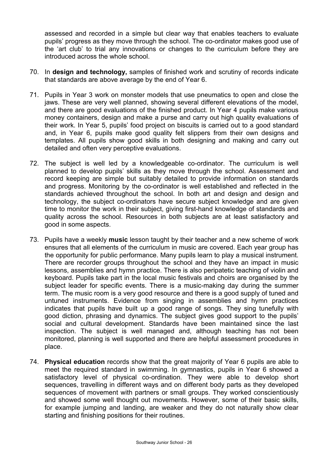assessed and recorded in a simple but clear way that enables teachers to evaluate pupils' progress as they move through the school. The co-ordinator makes good use of the 'art club' to trial any innovations or changes to the curriculum before they are introduced across the whole school.

- 70. In **design and technology,** samples of finished work and scrutiny of records indicate that standards are above average by the end of Year 6.
- 71. Pupils in Year 3 work on monster models that use pneumatics to open and close the jaws. These are very well planned, showing several different elevations of the model, and there are good evaluations of the finished product. In Year 4 pupils make various money containers, design and make a purse and carry out high quality evaluations of their work. In Year 5, pupils' food project on biscuits is carried out to a good standard and, in Year 6, pupils make good quality felt slippers from their own designs and templates. All pupils show good skills in both designing and making and carry out detailed and often very perceptive evaluations.
- 72. The subject is well led by a knowledgeable co-ordinator. The curriculum is well planned to develop pupils' skills as they move through the school. Assessment and record keeping are simple but suitably detailed to provide information on standards and progress. Monitoring by the co-ordinator is well established and reflected in the standards achieved throughout the school. In both art and design and design and technology, the subject co-ordinators have secure subject knowledge and are given time to monitor the work in their subject, giving first-hand knowledge of standards and quality across the school. Resources in both subjects are at least satisfactory and good in some aspects.
- 73. Pupils have a weekly **music** lesson taught by their teacher and a new scheme of work ensures that all elements of the curriculum in music are covered. Each year group has the opportunity for public performance. Many pupils learn to play a musical instrument. There are recorder groups throughout the school and they have an impact in music lessons, assemblies and hymn practice. There is also peripatetic teaching of violin and keyboard. Pupils take part in the local music festivals and choirs are organised by the subject leader for specific events. There is a music-making day during the summer term. The music room is a very good resource and there is a good supply of tuned and untuned instruments. Evidence from singing in assemblies and hymn practices indicates that pupils have built up a good range of songs. They sing tunefully with good diction, phrasing and dynamics. The subject gives good support to the pupils' social and cultural development. Standards have been maintained since the last inspection. The subject is well managed and, although teaching has not been monitored, planning is well supported and there are helpful assessment procedures in place.
- 74. **Physical education** records show that the great majority of Year 6 pupils are able to meet the required standard in swimming. In gymnastics, pupils in Year 6 showed a satisfactory level of physical co-ordination. They were able to develop short sequences, travelling in different ways and on different body parts as they developed sequences of movement with partners or small groups. They worked conscientiously and showed some well thought out movements. However, some of their basic skills, for example jumping and landing, are weaker and they do not naturally show clear starting and finishing positions for their routines.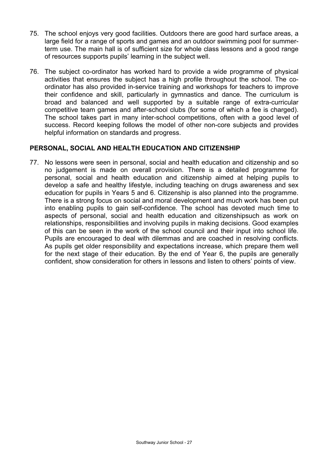- 75. The school enjoys very good facilities. Outdoors there are good hard surface areas, a large field for a range of sports and games and an outdoor swimming pool for summerterm use. The main hall is of sufficient size for whole class lessons and a good range of resources supports pupils' learning in the subject well.
- 76. The subject co-ordinator has worked hard to provide a wide programme of physical activities that ensures the subject has a high profile throughout the school. The coordinator has also provided in-service training and workshops for teachers to improve their confidence and skill, particularly in gymnastics and dance. The curriculum is broad and balanced and well supported by a suitable range of extra-curricular competitive team games and after-school clubs (for some of which a fee is charged). The school takes part in many inter-school competitions, often with a good level of success. Record keeping follows the model of other non-core subjects and provides helpful information on standards and progress.

#### **PERSONAL, SOCIAL AND HEALTH EDUCATION AND CITIZENSHIP**

77. No lessons were seen in personal, social and health education and citizenship and so no judgement is made on overall provision. There is a detailed programme for personal, social and health education and citizenship aimed at helping pupils to develop a safe and healthy lifestyle, including teaching on drugs awareness and sex education for pupils in Years 5 and 6. Citizenship is also planned into the programme. There is a strong focus on social and moral development and much work has been put into enabling pupils to gain self-confidence. The school has devoted much time to aspects of personal, social and health education and citizenshipsuch as work on relationships, responsibilities and involving pupils in making decisions. Good examples of this can be seen in the work of the school council and their input into school life. Pupils are encouraged to deal with dilemmas and are coached in resolving conflicts. As pupils get older responsibility and expectations increase, which prepare them well for the next stage of their education. By the end of Year 6, the pupils are generally confident, show consideration for others in lessons and listen to others' points of view.